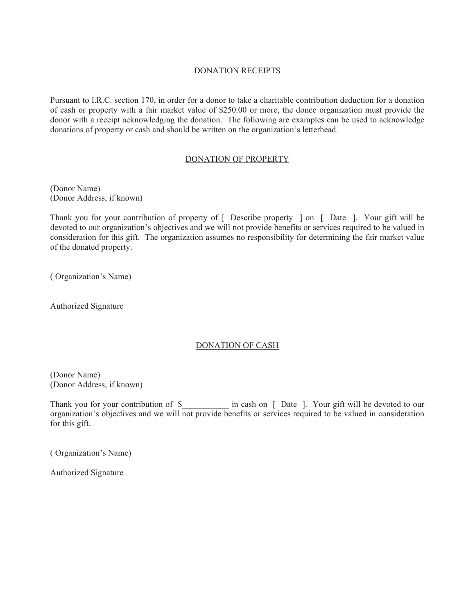#### DONATION RECEIPTS

Pursuant to I.R.C. section 170, in order for a donor to take a charitable contribution deduction for a donation of cash or property with a fair market value of \$250.00 or more, the donee organization must provide the donor with a receipt acknowledging the donation. The following are examples can be used to acknowledge donations of property or cash and should be written on the organization's letterhead.

### DONATION OF PROPERTY

(Donor Name) (Donor Address, if known)

Thank you for your contribution of property of [ Describe property ] on [ Date ]. Your gift will be devoted to our organization's objectives and we will not provide benefits or services required to be valued in consideration for this gift. The organization assumes no responsibility for determining the fair market value of the donated property.

( Organization's Name)

Authorized Signature

# DONATION OF CASH

(Donor Name) (Donor Address, if known)

Thank you for your contribution of \$\_\_\_\_\_\_\_\_\_\_\_\_ in cash on [ Date ]. Your gift will be devoted to our organization's objectives and we will not provide benefits or services required to be valued in consideration for this gift.

( Organization's Name)

Authorized Signature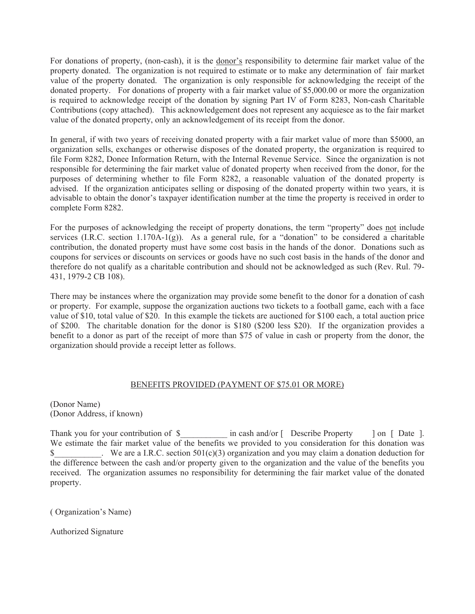For donations of property, (non-cash), it is the donor's responsibility to determine fair market value of the property donated. The organization is not required to estimate or to make any determination of fair market value of the property donated. The organization is only responsible for acknowledging the receipt of the donated property. For donations of property with a fair market value of \$5,000.00 or more the organization is required to acknowledge receipt of the donation by signing Part IV of Form 8283, Non-cash Charitable Contributions (copy attached). This acknowledgement does not represent any acquiesce as to the fair market value of the donated property, only an acknowledgement of its receipt from the donor.

In general, if with two years of receiving donated property with a fair market value of more than \$5000, an organization sells, exchanges or otherwise disposes of the donated property, the organization is required to file Form 8282, Donee Information Return, with the Internal Revenue Service. Since the organization is not responsible for determining the fair market value of donated property when received from the donor, for the purposes of determining whether to file Form 8282, a reasonable valuation of the donated property is advised. If the organization anticipates selling or disposing of the donated property within two years, it is advisable to obtain the donor's taxpayer identification number at the time the property is received in order to complete Form 8282.

For the purposes of acknowledging the receipt of property donations, the term "property" does not include services (I.R.C. section 1.170A-1(g)). As a general rule, for a "donation" to be considered a charitable contribution, the donated property must have some cost basis in the hands of the donor. Donations such as coupons for services or discounts on services or goods have no such cost basis in the hands of the donor and therefore do not qualify as a charitable contribution and should not be acknowledged as such (Rev. Rul. 79- 431, 1979-2 CB 108).

There may be instances where the organization may provide some benefit to the donor for a donation of cash or property. For example, suppose the organization auctions two tickets to a football game, each with a face value of \$10, total value of \$20. In this example the tickets are auctioned for \$100 each, a total auction price of \$200. The charitable donation for the donor is \$180 (\$200 less \$20). If the organization provides a benefit to a donor as part of the receipt of more than \$75 of value in cash or property from the donor, the organization should provide a receipt letter as follows.

#### BENEFITS PROVIDED (PAYMENT OF \$75.01 OR MORE)

(Donor Name) (Donor Address, if known)

Thank you for your contribution of \$  $\qquad$  in cash and/or [ Describe Property ] on [ Date ]. We estimate the fair market value of the benefits we provided to you consideration for this donation was  $\text{\$}$  We are a I.R.C. section 501(c)(3) organization and you may claim a donation deduction for the difference between the cash and/or property given to the organization and the value of the benefits you received. The organization assumes no responsibility for determining the fair market value of the donated property.

( Organization's Name)

Authorized Signature